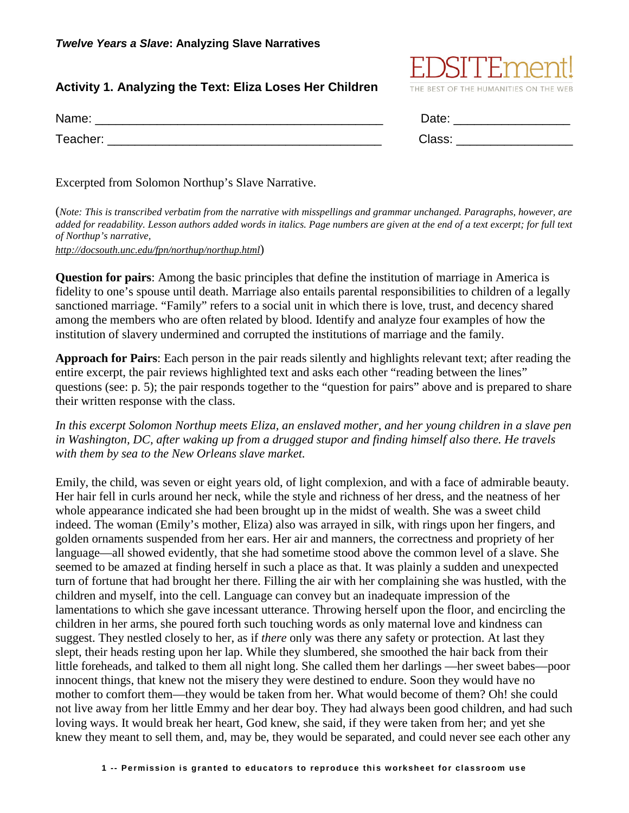# **Activity 1. Analyzing the Text: Eliza Loses Her Children**

| Name:    | Date:  |
|----------|--------|
| Teacher: | Class: |

)SFFF7

THE BEST OF THE HUMANITIES ON THE WEB

Excerpted from Solomon Northup's Slave Narrative.

(*Note: This is transcribed verbatim from the narrative with misspellings and grammar unchanged. Paragraphs, however, are added for readability. Lesson authors added words in italics. Page numbers are given at the end of a text excerpt; for full text of Northup's narrative,*

*http://docsouth.unc.edu/fpn/northup/northup.html*)

**Question for pairs**: Among the basic principles that define the institution of marriage in America is fidelity to one's spouse until death. Marriage also entails parental responsibilities to children of a legally sanctioned marriage. "Family" refers to a social unit in which there is love, trust, and decency shared among the members who are often related by blood. Identify and analyze four examples of how the institution of slavery undermined and corrupted the institutions of marriage and the family.

**Approach for Pairs**: Each person in the pair reads silently and highlights relevant text; after reading the entire excerpt, the pair reviews highlighted text and asks each other "reading between the lines" questions (see: p. 5); the pair responds together to the "question for pairs" above and is prepared to share their written response with the class.

*In this excerpt Solomon Northup meets Eliza, an enslaved mother, and her young children in a slave pen in Washington, DC, after waking up from a drugged stupor and finding himself also there. He travels with them by sea to the New Orleans slave market.*

Emily, the child, was seven or eight years old, of light complexion, and with a face of admirable beauty. Her hair fell in curls around her neck, while the style and richness of her dress, and the neatness of her whole appearance indicated she had been brought up in the midst of wealth. She was a sweet child indeed. The woman (Emily's mother, Eliza) also was arrayed in silk, with rings upon her fingers, and golden ornaments suspended from her ears. Her air and manners, the correctness and propriety of her language—all showed evidently, that she had sometime stood above the common level of a slave. She seemed to be amazed at finding herself in such a place as that. It was plainly a sudden and unexpected turn of fortune that had brought her there. Filling the air with her complaining she was hustled, with the children and myself, into the cell. Language can convey but an inadequate impression of the lamentations to which she gave incessant utterance. Throwing herself upon the floor, and encircling the children in her arms, she poured forth such touching words as only maternal love and kindness can suggest. They nestled closely to her, as if *there* only was there any safety or protection. At last they slept, their heads resting upon her lap. While they slumbered, she smoothed the hair back from their little foreheads, and talked to them all night long. She called them her darlings —her sweet babes—poor innocent things, that knew not the misery they were destined to endure. Soon they would have no mother to comfort them—they would be taken from her. What would become of them? Oh! she could not live away from her little Emmy and her dear boy. They had always been good children, and had such loving ways. It would break her heart, God knew, she said, if they were taken from her; and yet she knew they meant to sell them, and, may be, they would be separated, and could never see each other any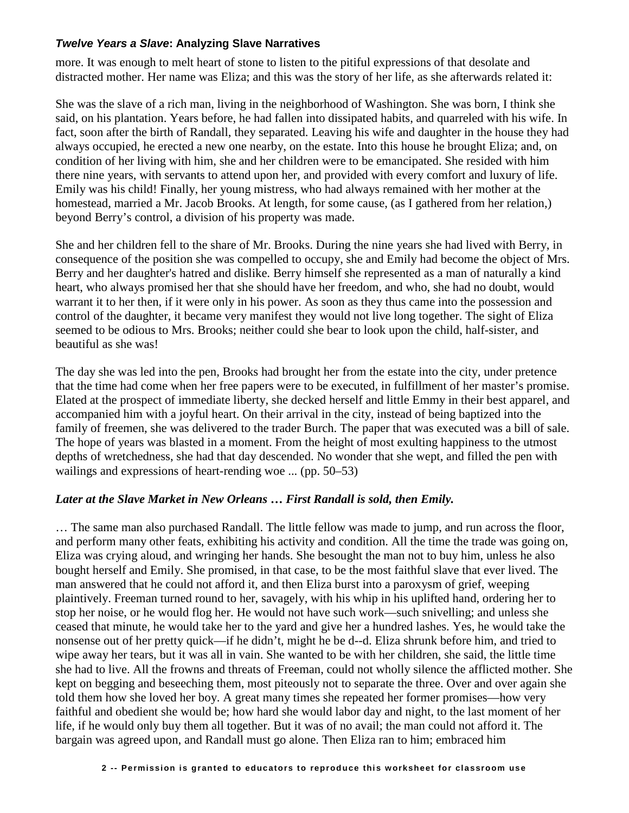### *Twelve Years a Slave***: Analyzing Slave Narratives**

more. It was enough to melt heart of stone to listen to the pitiful expressions of that desolate and distracted mother. Her name was Eliza; and this was the story of her life, as she afterwards related it:

She was the slave of a rich man, living in the neighborhood of Washington. She was born, I think she said, on his plantation. Years before, he had fallen into dissipated habits, and quarreled with his wife. In fact, soon after the birth of Randall, they separated. Leaving his wife and daughter in the house they had always occupied, he erected a new one nearby, on the estate. Into this house he brought Eliza; and, on condition of her living with him, she and her children were to be emancipated. She resided with him there nine years, with servants to attend upon her, and provided with every comfort and luxury of life. Emily was his child! Finally, her young mistress, who had always remained with her mother at the homestead, married a Mr. Jacob Brooks. At length, for some cause, (as I gathered from her relation,) beyond Berry's control, a division of his property was made.

She and her children fell to the share of Mr. Brooks. During the nine years she had lived with Berry, in consequence of the position she was compelled to occupy, she and Emily had become the object of Mrs. Berry and her daughter's hatred and dislike. Berry himself she represented as a man of naturally a kind heart, who always promised her that she should have her freedom, and who, she had no doubt, would warrant it to her then, if it were only in his power. As soon as they thus came into the possession and control of the daughter, it became very manifest they would not live long together. The sight of Eliza seemed to be odious to Mrs. Brooks; neither could she bear to look upon the child, half-sister, and beautiful as she was!

The day she was led into the pen, Brooks had brought her from the estate into the city, under pretence that the time had come when her free papers were to be executed, in fulfillment of her master's promise. Elated at the prospect of immediate liberty, she decked herself and little Emmy in their best apparel, and accompanied him with a joyful heart. On their arrival in the city, instead of being baptized into the family of freemen, she was delivered to the trader Burch. The paper that was executed was a bill of sale. The hope of years was blasted in a moment. From the height of most exulting happiness to the utmost depths of wretchedness, she had that day descended. No wonder that she wept, and filled the pen with wailings and expressions of heart-rending woe ... (pp. 50–53)

### *Later at the Slave Market in New Orleans* **…** *First Randall is sold, then Emily.*

… The same man also purchased Randall. The little fellow was made to jump, and run across the floor, and perform many other feats, exhibiting his activity and condition. All the time the trade was going on, Eliza was crying aloud, and wringing her hands. She besought the man not to buy him, unless he also bought herself and Emily. She promised, in that case, to be the most faithful slave that ever lived. The man answered that he could not afford it, and then Eliza burst into a paroxysm of grief, weeping plaintively. Freeman turned round to her, savagely, with his whip in his uplifted hand, ordering her to stop her noise, or he would flog her. He would not have such work—such snivelling; and unless she ceased that minute, he would take her to the yard and give her a hundred lashes. Yes, he would take the nonsense out of her pretty quick—if he didn't, might he be d--d. Eliza shrunk before him, and tried to wipe away her tears, but it was all in vain. She wanted to be with her children, she said, the little time she had to live. All the frowns and threats of Freeman, could not wholly silence the afflicted mother. She kept on begging and beseeching them, most piteously not to separate the three. Over and over again she told them how she loved her boy. A great many times she repeated her former promises—how very faithful and obedient she would be; how hard she would labor day and night, to the last moment of her life, if he would only buy them all together. But it was of no avail; the man could not afford it. The bargain was agreed upon, and Randall must go alone. Then Eliza ran to him; embraced him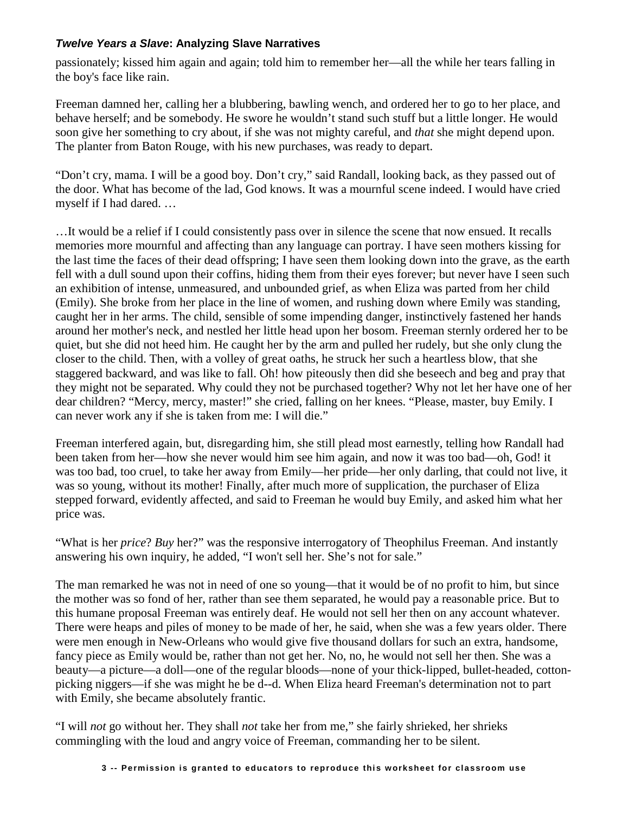## *Twelve Years a Slave***: Analyzing Slave Narratives**

passionately; kissed him again and again; told him to remember her—all the while her tears falling in the boy's face like rain.

Freeman damned her, calling her a blubbering, bawling wench, and ordered her to go to her place, and behave herself; and be somebody. He swore he wouldn't stand such stuff but a little longer. He would soon give her something to cry about, if she was not mighty careful, and *that* she might depend upon. The planter from Baton Rouge, with his new purchases, was ready to depart.

"Don't cry, mama. I will be a good boy. Don't cry," said Randall, looking back, as they passed out of the door. What has become of the lad, God knows. It was a mournful scene indeed. I would have cried myself if I had dared. …

…It would be a relief if I could consistently pass over in silence the scene that now ensued. It recalls memories more mournful and affecting than any language can portray. I have seen mothers kissing for the last time the faces of their dead offspring; I have seen them looking down into the grave, as the earth fell with a dull sound upon their coffins, hiding them from their eyes forever; but never have I seen such an exhibition of intense, unmeasured, and unbounded grief, as when Eliza was parted from her child (Emily). She broke from her place in the line of women, and rushing down where Emily was standing, caught her in her arms. The child, sensible of some impending danger, instinctively fastened her hands around her mother's neck, and nestled her little head upon her bosom. Freeman sternly ordered her to be quiet, but she did not heed him. He caught her by the arm and pulled her rudely, but she only clung the closer to the child. Then, with a volley of great oaths, he struck her such a heartless blow, that she staggered backward, and was like to fall. Oh! how piteously then did she beseech and beg and pray that they might not be separated. Why could they not be purchased together? Why not let her have one of her dear children? "Mercy, mercy, master!" she cried, falling on her knees. "Please, master, buy Emily. I can never work any if she is taken from me: I will die."

Freeman interfered again, but, disregarding him, she still plead most earnestly, telling how Randall had been taken from her—how she never would him see him again, and now it was too bad—oh, God! it was too bad, too cruel, to take her away from Emily—her pride—her only darling, that could not live, it was so young, without its mother! Finally, after much more of supplication, the purchaser of Eliza stepped forward, evidently affected, and said to Freeman he would buy Emily, and asked him what her price was.

"What is her *price*? *Buy* her?" was the responsive interrogatory of Theophilus Freeman. And instantly answering his own inquiry, he added, "I won't sell her. She's not for sale."

The man remarked he was not in need of one so young—that it would be of no profit to him, but since the mother was so fond of her, rather than see them separated, he would pay a reasonable price. But to this humane proposal Freeman was entirely deaf. He would not sell her then on any account whatever. There were heaps and piles of money to be made of her, he said, when she was a few years older. There were men enough in New-Orleans who would give five thousand dollars for such an extra, handsome, fancy piece as Emily would be, rather than not get her. No, no, he would not sell her then. She was a beauty—a picture—a doll—one of the regular bloods—none of your thick-lipped, bullet-headed, cottonpicking niggers—if she was might he be d--d. When Eliza heard Freeman's determination not to part with Emily, she became absolutely frantic.

"I will *not* go without her. They shall *not* take her from me," she fairly shrieked, her shrieks commingling with the loud and angry voice of Freeman, commanding her to be silent.